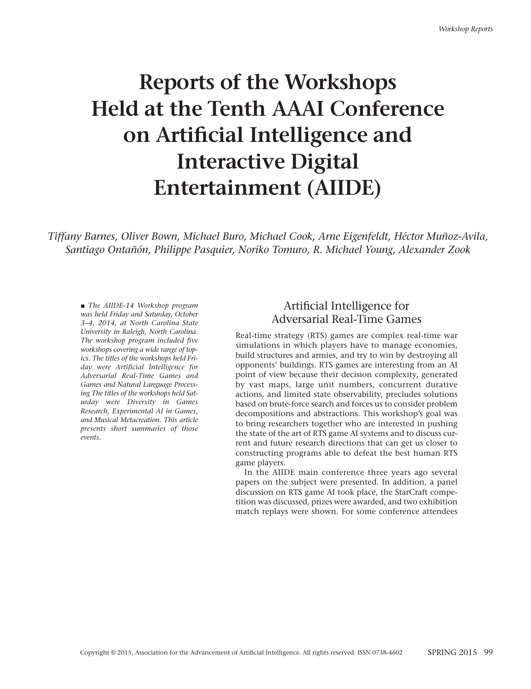# **Reports of the Workshops Held at the Tenth AAAI Conference on Artificial Intelligence and Interactive Digital Entertainment (AIIDE)**

*Tiffany Barnes, Oliver Bown, Michael Buro, Michael Cook, Arne Eigenfeldt, Héctor Muñoz-Avila, Santiago Ontañón, Philippe Pasquier, Noriko Tomuro, R. Michael Young, Alexander Zook*

■ *The AIIDE-14 Workshop program was held Friday and Saturday, October 3–4, 2014, at North Carolina State University in Raleigh, North Carolina. The workshop program included five workshops covering a wide range of topics. The titles of the workshops held Friday were Artificial Intelligence for Adversarial Real-Time Games and Games and Natural Language Processing The titles of the workshops held Saturday were Diversity in Games Research, Experimental AI in Games, and Musical Metacreation. This article presents short summaries of those events.*

## Artificial Intelligence for Adversarial Real-Time Games

Real-time strategy (RTS) games are complex real-time war simulations in which players have to manage economies, build structures and armies, and try to win by destroying all opponents' buildings. RTS games are interesting from an AI point of view because their decision complexity, generated by vast maps, large unit numbers, concurrent durative actions, and limited state observability, precludes solutions based on brute-force search and forces us to consider problem decompositions and abstractions. This workshop's goal was to bring researchers together who are interested in pushing the state of the art of RTS game AI systems and to discuss current and future research directions that can get us closer to constructing programs able to defeat the best human RTS game players.

In the AIIDE main conference three years ago several papers on the subject were presented. In addition, a panel discussion on RTS game AI took place, the StarCraft competition was discussed, prizes were awarded, and two exhibition match replays were shown. For some conference attendees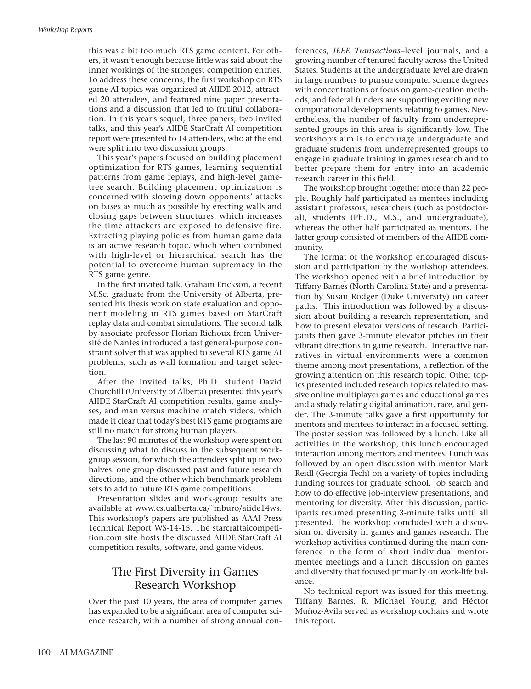this was a bit too much RTS game content. For others, it wasn't enough because little was said about the inner workings of the strongest competition entries. To address these concerns, the first workshop on RTS game AI topics was organized at AIIDE 2012, attracted 20 attendees, and featured nine paper presentations and a discussion that led to frutiful collaboration. In this year's sequel, three papers, two invited talks, and this year's AIIDE StarCraft AI competition report were presented to 14 attendees, who at the end were split into two discussion groups.

This year's papers focused on building placement optimization for RTS games, learning sequential patterns from game replays, and high-level gametree search. Building placement optimization is concerned with slowing down opponents' attacks on bases as much as possible by erecting walls and closing gaps between structures, which increases the time attackers are exposed to defensive fire. Extracting playing policies from human game data is an active research topic, which when combined with high-level or hierarchical search has the potential to overcome human supremacy in the RTS game genre.

In the first invited talk, Graham Erickson, a recent M.Sc. graduate from the University of Alberta, presented his thesis work on state evaluation and opponent modeling in RTS games based on StarCraft replay data and combat simulations. The second talk by associate professor Florian Richoux from Université de Nantes introduced a fast general-purpose constraint solver that was applied to several RTS game AI problems, such as wall formation and target selection.

After the invited talks, Ph.D. student David Churchill (University of Alberta) presented this year's AIIDE StarCraft AI competition results, game analyses, and man versus machine match videos, which made it clear that today's best RTS game programs are still no match for strong human players.

The last 90 minutes of the workshop were spent on discussing what to discuss in the subsequent workgroup session, for which the attendees split up in two halves: one group discussed past and future research directions, and the other which benchmark problem sets to add to future RTS game competitions.

Presentation slides and work-group results are available at www.cs.ualberta.ca/˜mburo/aiide14ws. This workshop's papers are published as AAAI Press Technical Report WS-14-15. The starcraftaicompetition.com site hosts the discussed AIIDE StarCraft AI competition results, software, and game videos.

## The First Diversity in Games Research Workshop

Over the past 10 years, the area of computer games has expanded to be a significant area of computer science research, with a number of strong annual conferences, *IEEE Transactions*–level journals, and a growing number of tenured faculty across the United States. Students at the undergraduate level are drawn in large numbers to pursue computer science degrees with concentrations or focus on game-creation methods, and federal funders are supporting exciting new computational developments relating to games. Nevertheless, the number of faculty from underrepresented groups in this area is significantly low. The workshop's aim is to encourage undergraduate and graduate students from underrepresented groups to engage in graduate training in games research and to better prepare them for entry into an academic research career in this field.

The workshop brought together more than 22 people. Roughly half participated as mentees including assistant professors, researchers (such as postdoctoral), students (Ph.D., M.S., and undergraduate), whereas the other half participated as mentors. The latter group consisted of members of the AIIDE community.

The format of the workshop encouraged discussion and participation by the workshop attendees. The workshop opened with a brief introduction by Tiffany Barnes (North Carolina State) and a presentation by Susan Rodger (Duke University) on career paths. This introduction was followed by a discussion about building a research representation, and how to present elevator versions of research. Participants then gave 3-minute elevator pitches on their vibrant directions in game research. Interactive narratives in virtual environments were a common theme among most presentations, a reflection of the growing attention on this research topic. Other topics presented included research topics related to massive online multiplayer games and educational games and a study relating digital animation, race, and gender. The 3-minute talks gave a first opportunity for mentors and mentees to interact in a focused setting. The poster session was followed by a lunch. Like all activities in the workshop, this lunch encouraged interaction among mentors and mentees. Lunch was followed by an open discussion with mentor Mark Reidl (Georgia Tech) on a variety of topics including funding sources for graduate school, job search and how to do effective job-interview presentations, and mentoring for diversity. After this discussion, participants resumed presenting 3-minute talks until all presented. The workshop concluded with a discussion on diversity in games and games research. The workshop activities continued during the main conference in the form of short individual mentormentee meetings and a lunch discussion on games and diversity that focused primarily on work-life balance.

No technical report was issued for this meeting. Tiffany Barnes, R. Michael Young, and Héctor Muñoz-Avila served as workshop cochairs and wrote this report.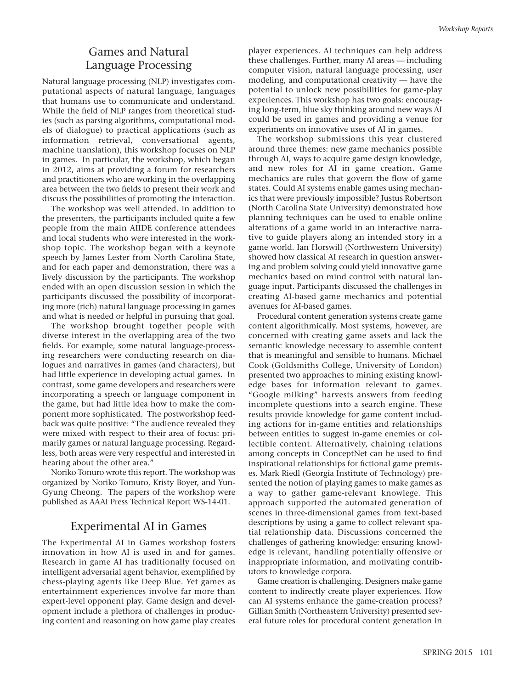# Games and Natural Language Processing

Natural language processing (NLP) investigates computational aspects of natural language, languages that humans use to communicate and understand. While the field of NLP ranges from theoretical studies (such as parsing algorithms, computational models of dialogue) to practical applications (such as information retrieval, conversational agents, machine translation), this workshop focuses on NLP in games. In particular, the workshop, which began in 2012, aims at providing a forum for researchers and practitioners who are working in the overlapping area between the two fields to present their work and discuss the possibilities of promoting the interaction.

The workshop was well attended. In addition to the presenters, the participants included quite a few people from the main AIIDE conference attendees and local students who were interested in the workshop topic. The workshop began with a keynote speech by James Lester from North Carolina State, and for each paper and demonstration, there was a lively discussion by the participants. The workshop ended with an open discussion session in which the participants discussed the possibility of incorporating more (rich) natural language processing in games and what is needed or helpful in pursuing that goal.

The workshop brought together people with diverse interest in the overlapping area of the two fields. For example, some natural language-processing researchers were conducting research on dialogues and narratives in games (and characters), but had little experience in developing actual games. In contrast, some game developers and researchers were incorporating a speech or language component in the game, but had little idea how to make the component more sophisticated. The postworkshop feedback was quite positive: "The audience revealed they were mixed with respect to their area of focus: primarily games or natural language processing. Regardless, both areas were very respectful and interested in hearing about the other area."

Noriko Tonuro wrote this report. The workshop was organized by Noriko Tomuro, Kristy Boyer, and Yun-Gyung Cheong. The papers of the workshop were published as AAAI Press Technical Report WS-14-01.

#### Experimental AI in Games

The Experimental AI in Games workshop fosters innovation in how AI is used in and for games. Research in game AI has traditionally focused on intelligent adversarial agent behavior, exemplified by chess-playing agents like Deep Blue. Yet games as entertainment experiences involve far more than expert-level opponent play. Game design and development include a plethora of challenges in producing content and reasoning on how game play creates

player experiences. AI techniques can help address these challenges. Further, many AI areas — including computer vision, natural language processing, user modeling, and computational creativity — have the potential to unlock new possibilities for game-play experiences. This workshop has two goals: encouraging long-term, blue sky thinking around new ways AI could be used in games and providing a venue for experiments on innovative uses of AI in games.

The workshop submissions this year clustered around three themes: new game mechanics possible through AI, ways to acquire game design knowledge, and new roles for AI in game creation. Game mechanics are rules that govern the flow of game states. Could AI systems enable games using mechanics that were previously impossible? Justus Robertson (North Carolina State University) demonstrated how planning techniques can be used to enable online alterations of a game world in an interactive narrative to guide players along an intended story in a game world. Ian Horswill (Northwestern University) showed how classical AI research in question answering and problem solving could yield innovative game mechanics based on mind control with natural language input. Participants discussed the challenges in creating AI-based game mechanics and potential avenues for AI-based games.

Procedural content generation systems create game content algorithmically. Most systems, however, are concerned with creating game assets and lack the semantic knowledge necessary to assemble content that is meaningful and sensible to humans. Michael Cook (Goldsmiths College, University of London) presented two approaches to mining existing knowledge bases for information relevant to games. "Google milking" harvests answers from feeding incomplete questions into a search engine. These results provide knowledge for game content including actions for in-game entities and relationships between entities to suggest in-game enemies or collectible content. Alternatively, chaining relations among concepts in ConceptNet can be used to find inspirational relationships for fictional game premises. Mark Riedl (Georgia Institute of Technology) presented the notion of playing games to make games as a way to gather game-relevant knowlege. This approach supported the automated generation of scenes in three-dimensional games from text-based descriptions by using a game to collect relevant spatial relationship data. Discussions concerned the challenges of gathering knowledge: ensuring knowledge is relevant, handling potentially offensive or inappropriate information, and motivating contributors to knowledge corpora.

Game creation is challenging. Designers make game content to indirectly create player experiences. How can AI systems enhance the game-creation process? Gillian Smith (Northeastern University) presented several future roles for procedural content generation in